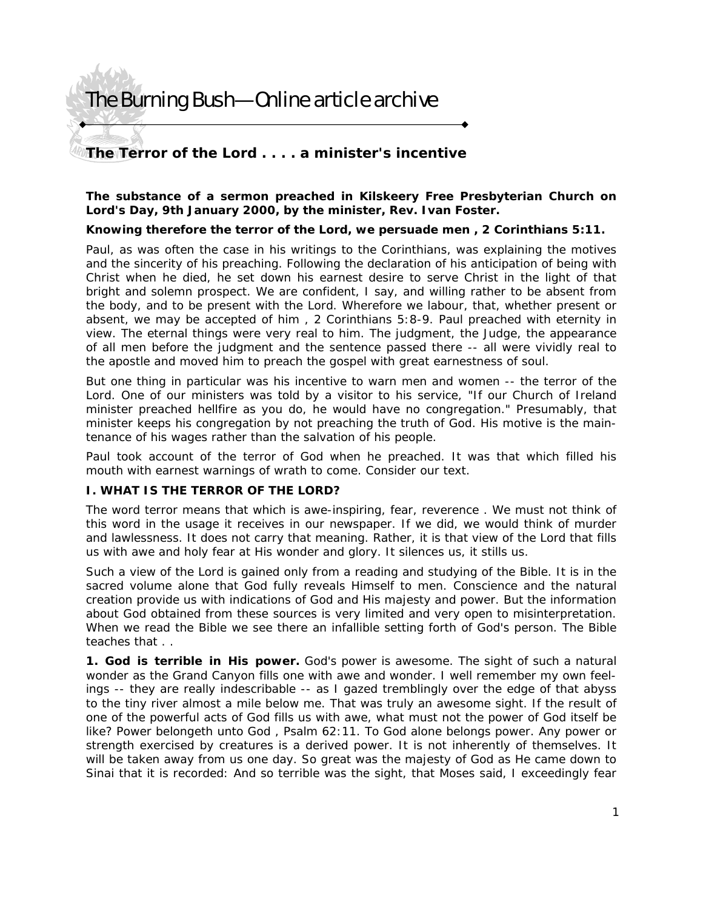### **The Terror of the Lord . . . . a minister's incentive**

### **The substance of a sermon preached in Kilskeery Free Presbyterian Church on Lord's Day, 9th January 2000, by the minister, Rev. Ivan Foster.**

### *Knowing therefore the terror of the Lord, we persuade men* **, 2 Corinthians 5:11.**

Paul, as was often the case in his writings to the Corinthians, was explaining the motives and the sincerity of his preaching. Following the declaration of his anticipation of being with Christ when he died, he set down his earnest desire to serve Christ in the light of that bright and solemn prospect. *We are confident, I say, and willing rather to be absent from the body, and to be present with the Lord. Wherefore we labour, that, whether present or absent, we may be accepted of him* , 2 Corinthians 5:8-9. Paul preached with eternity in view. The eternal things were very real to him. The judgment, the Judge, the appearance of all men before the judgment and the sentence passed there -- all were vividly real to the apostle and moved him to preach the gospel with great earnestness of soul.

But one thing in particular was his incentive to warn men and women -- *the terror of the*  Lord. One of our ministers was told by a visitor to his service, "If our Church of Ireland minister preached hellfire as you do, he would have no congregation." Presumably, that minister keeps his congregation by not preaching the truth of God. His motive is the maintenance of his wages rather than the salvation of his people.

Paul took account of the terror of God when he preached. It was that which filled his mouth with earnest warnings of wrath to come. Consider our text.

### **I. WHAT IS THE TERROR OF THE LORD?**

The word terror means that which is *awe-inspiring, fear, reverence* . We must not think of this word in the usage it receives in our newspaper. If we did, we would think of murder and lawlessness. It does not carry that meaning. Rather, it is that view of the Lord that fills us with awe and holy fear at His wonder and glory. It silences us, it stills us.

Such a view of the Lord is gained only from a reading and studying of the Bible. It is in the sacred volume alone that God fully reveals Himself to men. Conscience and the natural creation provide us with indications of God and His majesty and power. But the information about God obtained from these sources is very limited and very open to misinterpretation. When we read the Bible we see there an infallible setting forth of God's person. The Bible teaches that . .

**1. God is terrible in His power.** God's power is awesome. The sight of such a natural wonder as the Grand Canyon fills one with awe and wonder. I well remember my own feelings -- they are really indescribable -- as I gazed tremblingly over the edge of that abyss to the tiny river almost a mile below me. That was truly an awesome sight. If the result of one of the powerful acts of God fills us with awe, what must not the power of God itself be like? *Power belongeth unto God* , Psalm 62:11. To God alone belongs power. Any power or strength exercised by creatures is a derived power. It is not inherently of themselves. It will be taken away from us one day. So great was the majesty of God as He came down to Sinai that it is recorded: *And so terrible was the sight, that Moses said, I exceedingly fear*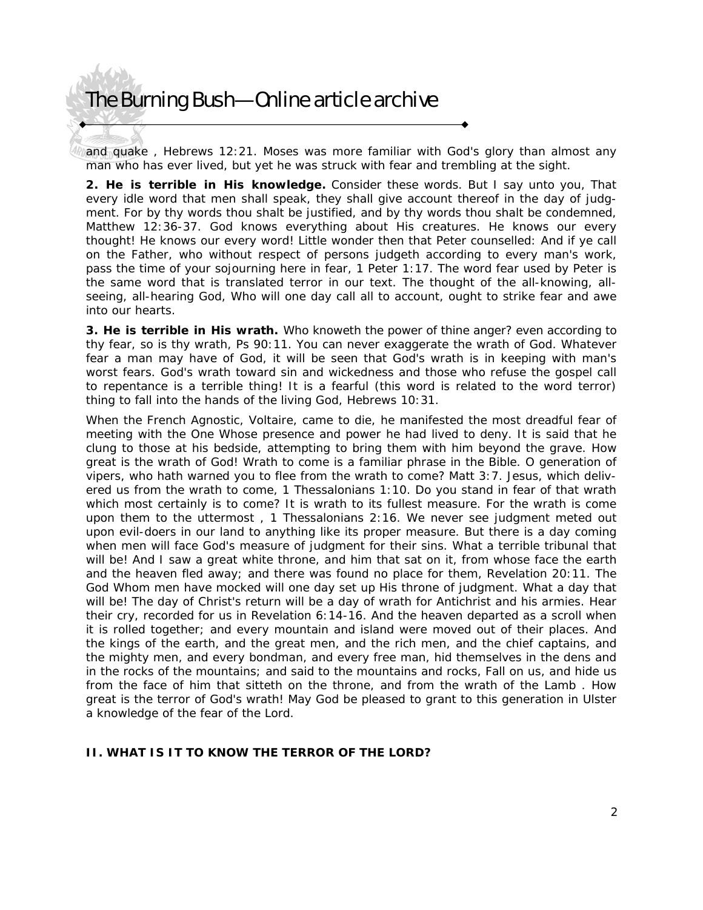*and quake* , Hebrews 12:21. Moses was more familiar with God's glory than almost any man who has ever lived, but yet he was struck with fear and trembling at the sight.

**2. He is terrible in His knowledge.** Consider these words. *But I say unto you, That every idle word that men shall speak, they shall give account thereof in the day of judgment. For by thy words thou shalt be justified, and by thy words thou shalt be condemned,* Matthew 12:36-37. God knows everything about His creatures. He knows our every thought! He knows our every word! Little wonder then that Peter counselled: *And if ye call on the Father, who without respect of persons judgeth according to every man's work, pass the time of your sojourning here in fear,* 1 Peter 1:17. The word *fear* used by Peter is the same word that is translated *terror* in our text. The thought of the all-knowing, allseeing, all-hearing God, Who will one day call all to account, ought to strike fear and awe into our hearts.

**3. He is terrible in His wrath.** *Who knoweth the power of thine anger? even according to thy fear, so is thy wrath,* Ps 90:11. You can never exaggerate the wrath of God. Whatever fear a man may have of God, it will be seen that God's wrath is in keeping with man's worst fears. God's wrath toward sin and wickedness and those who refuse the gospel call to repentance is a terrible thing! *It is a fearful* (this word is related to the word terror) *thing to fall into the hands of the living God,* Hebrews 10:31.

When the French Agnostic, Voltaire, came to die, he manifested the most dreadful fear of meeting with the One Whose presence and power he had lived to deny. It is said that he clung to those at his bedside, attempting to bring them with him beyond the grave. How great is the wrath of God! *Wrath to come* is a familiar phrase in the Bible. *O generation of vipers, who hath warned you to flee from the wrath to come?* Matt 3:7. *Jesus, which delivered us from the wrath to come,* 1 Thessalonians 1:10. Do you stand in fear of that wrath which most certainly is to come? It is wrath to its fullest measure. *For the wrath is come upon them to the uttermost* , 1 Thessalonians 2:16. We never see judgment meted out upon evil-doers in our land to anything like its proper measure. But there is a day coming when men will face God's measure of judgment for their sins. What a terrible tribunal that will be! *And I saw a great white throne, and him that sat on it, from whose face the earth and the heaven fled away; and there was found no place for them,* Revelation 20:11. The God Whom men have mocked will one day set up His throne of judgment. What a day that will be! The day of Christ's return will be a day of wrath for Antichrist and his armies. Hear their cry, recorded for us in Revelation 6:14-16. *And the heaven departed as a scroll when it is rolled together; and every mountain and island were moved out of their places. And the kings of the earth, and the great men, and the rich men, and the chief captains, and the mighty men, and every bondman, and every free man, hid themselves in the dens and in the rocks of the mountains; and said to the mountains and rocks, Fall on us, and hide us from the face of him that sitteth on the throne, and from the wrath of the Lamb* . How great is the terror of God's wrath! May God be pleased to grant to this generation in Ulster a knowledge of the fear of the Lord.

### **II. WHAT IS IT TO KNOW THE TERROR OF THE LORD?**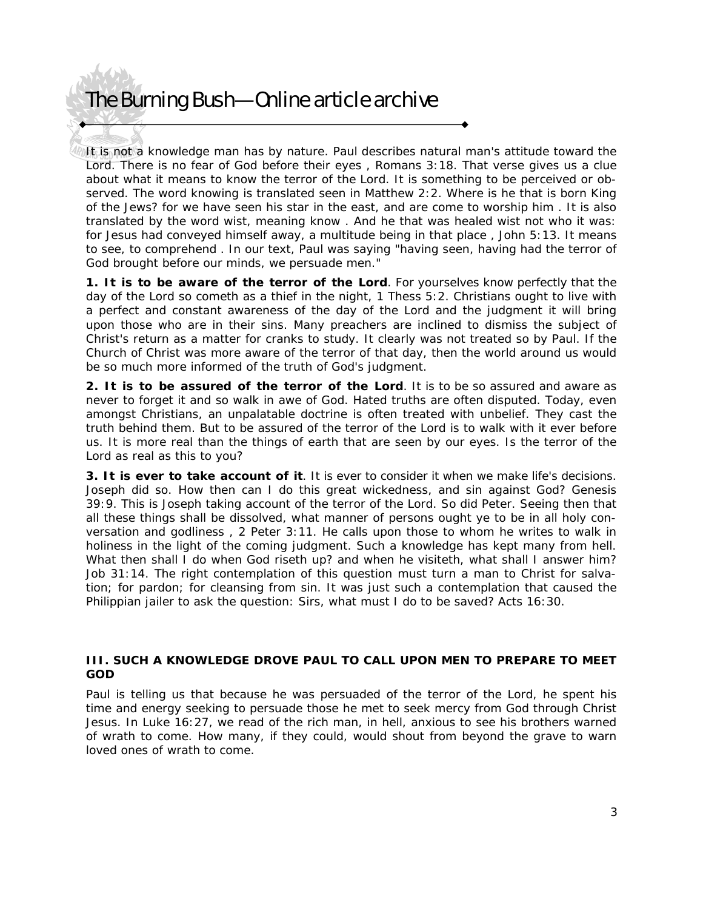It is not a knowledge man has by nature. Paul describes natural man's attitude toward the Lord. *There is no fear of God before their eyes* , Romans 3:18. That verse gives us a clue about what it means to know the terror of the Lord. It is something to be perceived or observed. The word *knowing* is translated *seen* in Matthew 2:2. *Where is he that is born King of the Jews? for we have seen his star in the east, and are come to worship him* . It is also translated by the word *wist,* meaning *know* . *And he that was healed wist not who it was: for Jesus had conveyed himself away, a multitude being in that place* , John 5:13. It means to *see, to comprehend* . In our text, Paul was saying "having seen, having had the terror of God brought before our minds, we persuade men."

**1. It is to be aware of the terror of the Lord**. *For yourselves know perfectly that the day of the Lord so cometh as a thief in the night,* 1 Thess 5:2. Christians ought to live with a perfect and constant awareness of the day of the Lord and the judgment it will bring upon those who are in their sins. Many preachers are inclined to dismiss the subject of Christ's return as a matter for cranks to study. It clearly was not treated so by Paul. If the Church of Christ was more aware of the terror of that day, then the world around us would be so much more informed of the truth of God's judgment.

**2. It is to be assured of the terror of the Lord**. It is to be so assured and aware as never to forget it and so walk in awe of God. Hated truths are often disputed. Today, even amongst Christians, an unpalatable doctrine is often treated with unbelief. They cast the truth behind them. But to be assured of the terror of the Lord is to walk with it ever before us. It is more real than the things of earth that are seen by our eyes. Is the terror of the Lord as real as this to you?

**3. It is ever to take account of it**. It is ever to consider it when we make life's decisions. Joseph did so. *How then can I do this great wickedness, and sin against God?* Genesis 39:9. This is Joseph taking account of the terror of the Lord. So did Peter. *Seeing then that all these things shall be dissolved, what manner of persons ought ye to be in all holy conversation and godliness* , 2 Peter 3:11. He calls upon those to whom he writes to walk in holiness in the light of the coming judgment. Such a knowledge has kept many from hell. *What then shall I do when God riseth up? and when he visiteth, what shall I answer him?* Job 31:14. The right contemplation of this question must turn a man to Christ for salvation; for pardon; for cleansing from sin. It was just such a contemplation that caused the Philippian jailer to ask the question: *Sirs, what must I do to be saved?* Acts 16:30.

### **III. SUCH A KNOWLEDGE DROVE PAUL TO CALL UPON MEN TO PREPARE TO MEET GOD**

Paul is telling us that because he was persuaded of the terror of the Lord, he spent his time and energy seeking to persuade those he met to seek mercy from God through Christ Jesus. In Luke 16:27, we read of the rich man, in hell, anxious to see his brothers warned of wrath to come. How many, if they could, would shout from beyond the grave to warn loved ones of wrath to come.